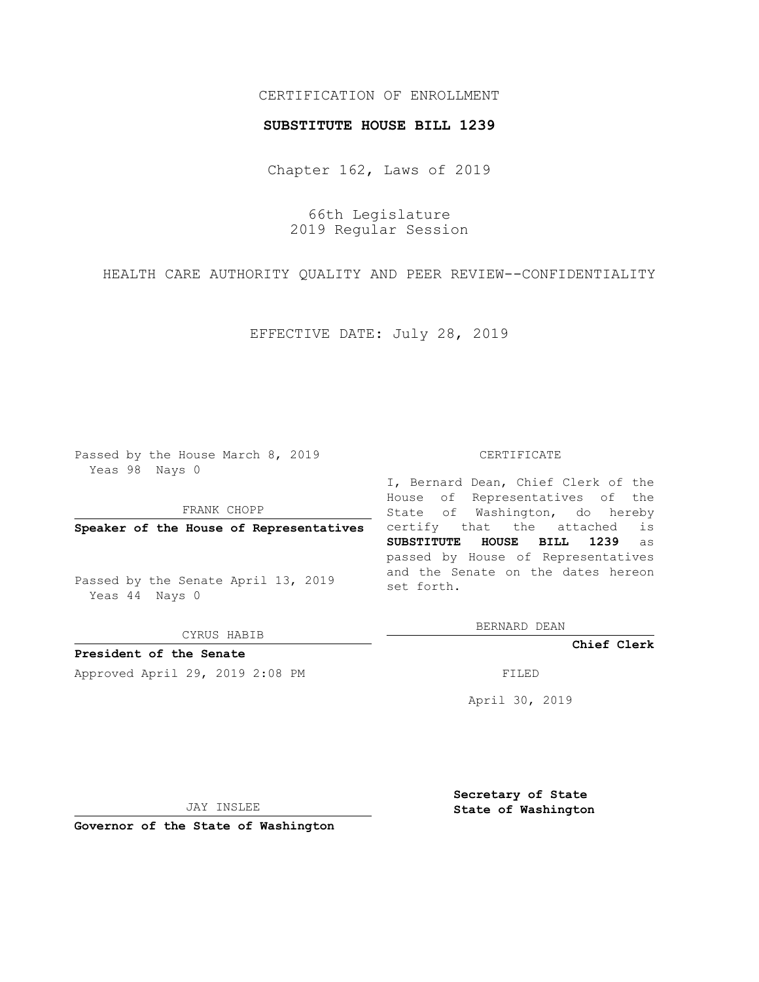## CERTIFICATION OF ENROLLMENT

## **SUBSTITUTE HOUSE BILL 1239**

Chapter 162, Laws of 2019

66th Legislature 2019 Regular Session

HEALTH CARE AUTHORITY QUALITY AND PEER REVIEW--CONFIDENTIALITY

EFFECTIVE DATE: July 28, 2019

Passed by the House March 8, 2019 Yeas 98 Nays 0

FRANK CHOPP

**Speaker of the House of Representatives**

Passed by the Senate April 13, 2019 Yeas 44 Nays 0

CYRUS HABIB

**President of the Senate**

Approved April 29, 2019 2:08 PM FILED

## CERTIFICATE

I, Bernard Dean, Chief Clerk of the House of Representatives of the State of Washington, do hereby certify that the attached is **SUBSTITUTE HOUSE BILL 1239** as passed by House of Representatives and the Senate on the dates hereon set forth.

BERNARD DEAN

**Chief Clerk**

April 30, 2019

JAY INSLEE

**Governor of the State of Washington**

**Secretary of State State of Washington**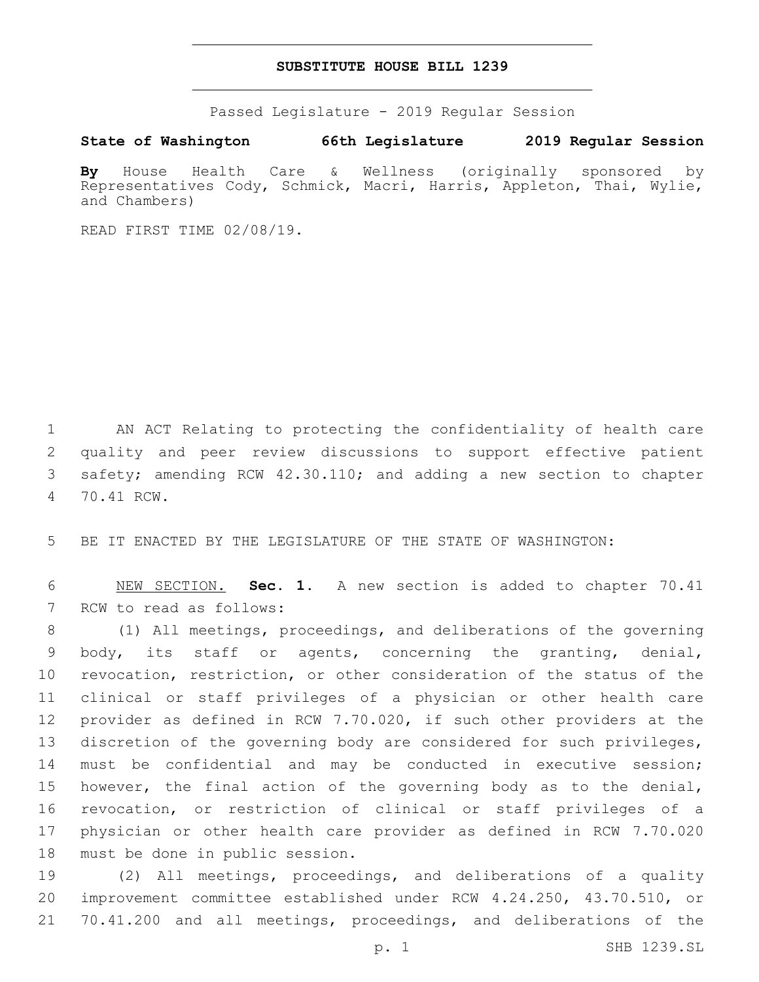## **SUBSTITUTE HOUSE BILL 1239**

Passed Legislature - 2019 Regular Session

**State of Washington 66th Legislature 2019 Regular Session**

**By** House Health Care & Wellness (originally sponsored by Representatives Cody, Schmick, Macri, Harris, Appleton, Thai, Wylie, and Chambers)

READ FIRST TIME 02/08/19.

1 AN ACT Relating to protecting the confidentiality of health care 2 quality and peer review discussions to support effective patient 3 safety; amending RCW 42.30.110; and adding a new section to chapter 70.41 RCW.4

5 BE IT ENACTED BY THE LEGISLATURE OF THE STATE OF WASHINGTON:

6 NEW SECTION. **Sec. 1.** A new section is added to chapter 70.41 7 RCW to read as follows:

 (1) All meetings, proceedings, and deliberations of the governing body, its staff or agents, concerning the granting, denial, revocation, restriction, or other consideration of the status of the clinical or staff privileges of a physician or other health care provider as defined in RCW 7.70.020, if such other providers at the discretion of the governing body are considered for such privileges, must be confidential and may be conducted in executive session; however, the final action of the governing body as to the denial, revocation, or restriction of clinical or staff privileges of a physician or other health care provider as defined in RCW 7.70.020 18 must be done in public session.

19 (2) All meetings, proceedings, and deliberations of a quality 20 improvement committee established under RCW 4.24.250, 43.70.510, or 21 70.41.200 and all meetings, proceedings, and deliberations of the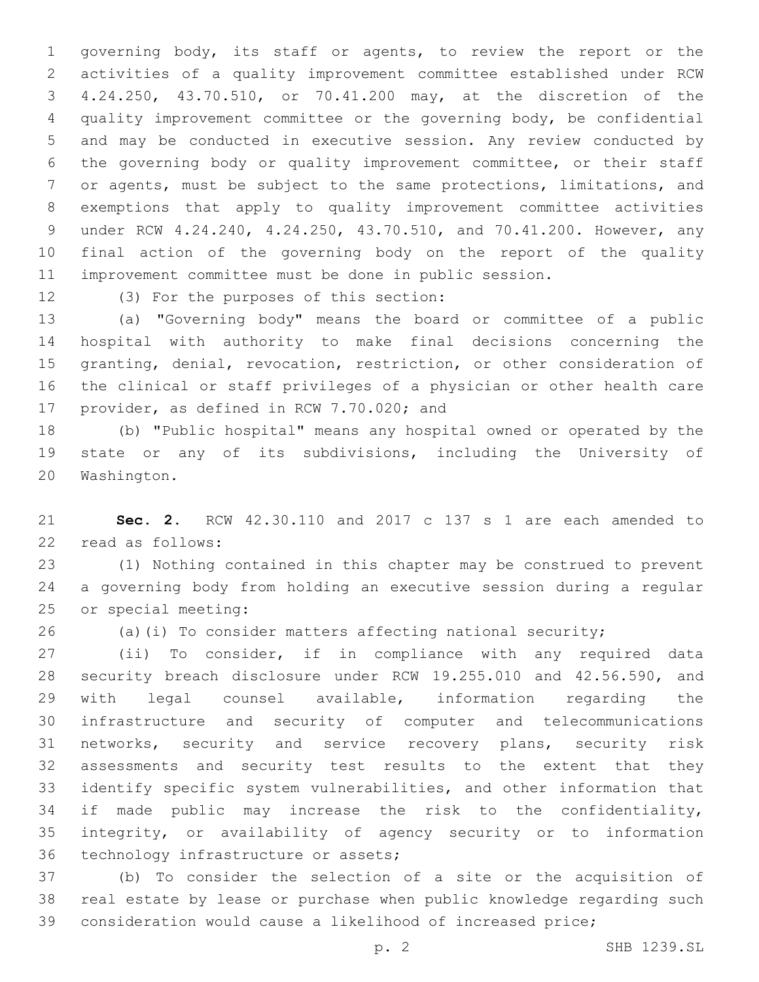governing body, its staff or agents, to review the report or the activities of a quality improvement committee established under RCW 4.24.250, 43.70.510, or 70.41.200 may, at the discretion of the quality improvement committee or the governing body, be confidential and may be conducted in executive session. Any review conducted by the governing body or quality improvement committee, or their staff or agents, must be subject to the same protections, limitations, and exemptions that apply to quality improvement committee activities under RCW 4.24.240, 4.24.250, 43.70.510, and 70.41.200. However, any final action of the governing body on the report of the quality improvement committee must be done in public session.

12 (3) For the purposes of this section:

 (a) "Governing body" means the board or committee of a public hospital with authority to make final decisions concerning the granting, denial, revocation, restriction, or other consideration of the clinical or staff privileges of a physician or other health care 17 provider, as defined in RCW 7.70.020; and

 (b) "Public hospital" means any hospital owned or operated by the state or any of its subdivisions, including the University of 20 Washington.

 **Sec. 2.** RCW 42.30.110 and 2017 c 137 s 1 are each amended to 22 read as follows:

 (1) Nothing contained in this chapter may be construed to prevent a governing body from holding an executive session during a regular 25 or special meeting:

(a)(i) To consider matters affecting national security;

 (ii) To consider, if in compliance with any required data security breach disclosure under RCW 19.255.010 and 42.56.590, and with legal counsel available, information regarding the infrastructure and security of computer and telecommunications networks, security and service recovery plans, security risk assessments and security test results to the extent that they identify specific system vulnerabilities, and other information that if made public may increase the risk to the confidentiality, integrity, or availability of agency security or to information 36 technology infrastructure or assets;

 (b) To consider the selection of a site or the acquisition of real estate by lease or purchase when public knowledge regarding such consideration would cause a likelihood of increased price;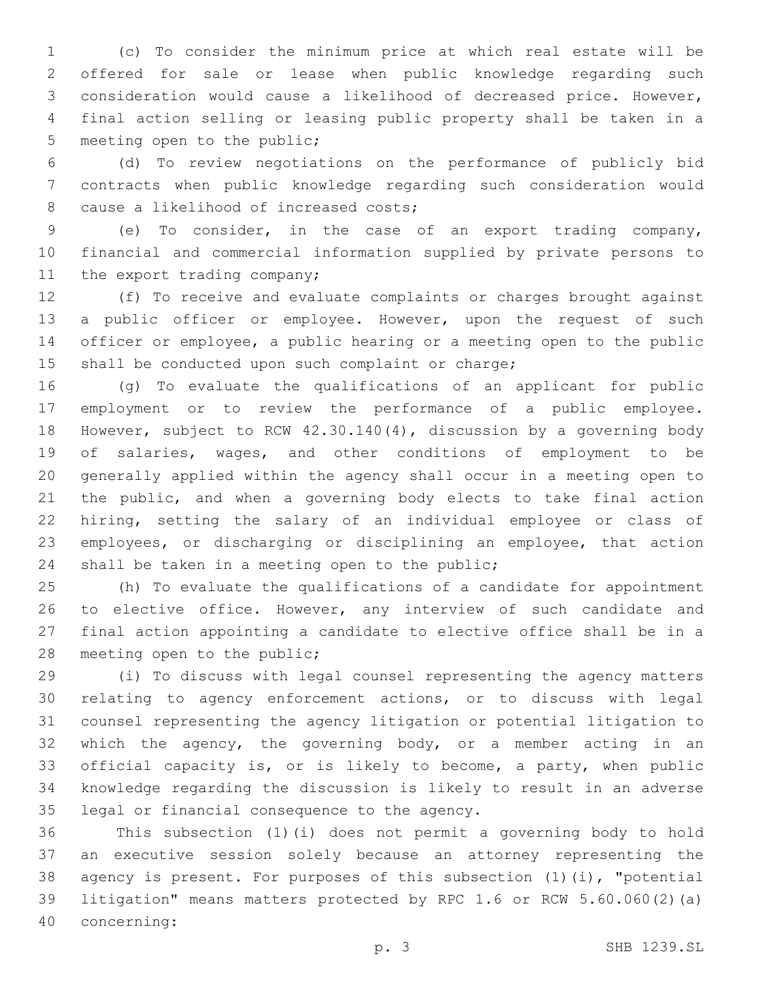(c) To consider the minimum price at which real estate will be offered for sale or lease when public knowledge regarding such consideration would cause a likelihood of decreased price. However, final action selling or leasing public property shall be taken in a 5 meeting open to the public;

 (d) To review negotiations on the performance of publicly bid contracts when public knowledge regarding such consideration would 8 cause a likelihood of increased costs;

 (e) To consider, in the case of an export trading company, financial and commercial information supplied by private persons to 11 the export trading company;

 (f) To receive and evaluate complaints or charges brought against a public officer or employee. However, upon the request of such officer or employee, a public hearing or a meeting open to the public 15 shall be conducted upon such complaint or charge;

 (g) To evaluate the qualifications of an applicant for public employment or to review the performance of a public employee. However, subject to RCW 42.30.140(4), discussion by a governing body of salaries, wages, and other conditions of employment to be generally applied within the agency shall occur in a meeting open to the public, and when a governing body elects to take final action hiring, setting the salary of an individual employee or class of employees, or discharging or disciplining an employee, that action 24 shall be taken in a meeting open to the public;

 (h) To evaluate the qualifications of a candidate for appointment 26 to elective office. However, any interview of such candidate and final action appointing a candidate to elective office shall be in a 28 meeting open to the public;

 (i) To discuss with legal counsel representing the agency matters relating to agency enforcement actions, or to discuss with legal counsel representing the agency litigation or potential litigation to which the agency, the governing body, or a member acting in an official capacity is, or is likely to become, a party, when public knowledge regarding the discussion is likely to result in an adverse 35 legal or financial consequence to the agency.

 This subsection (1)(i) does not permit a governing body to hold an executive session solely because an attorney representing the agency is present. For purposes of this subsection (1)(i), "potential litigation" means matters protected by RPC 1.6 or RCW 5.60.060(2)(a) concerning:40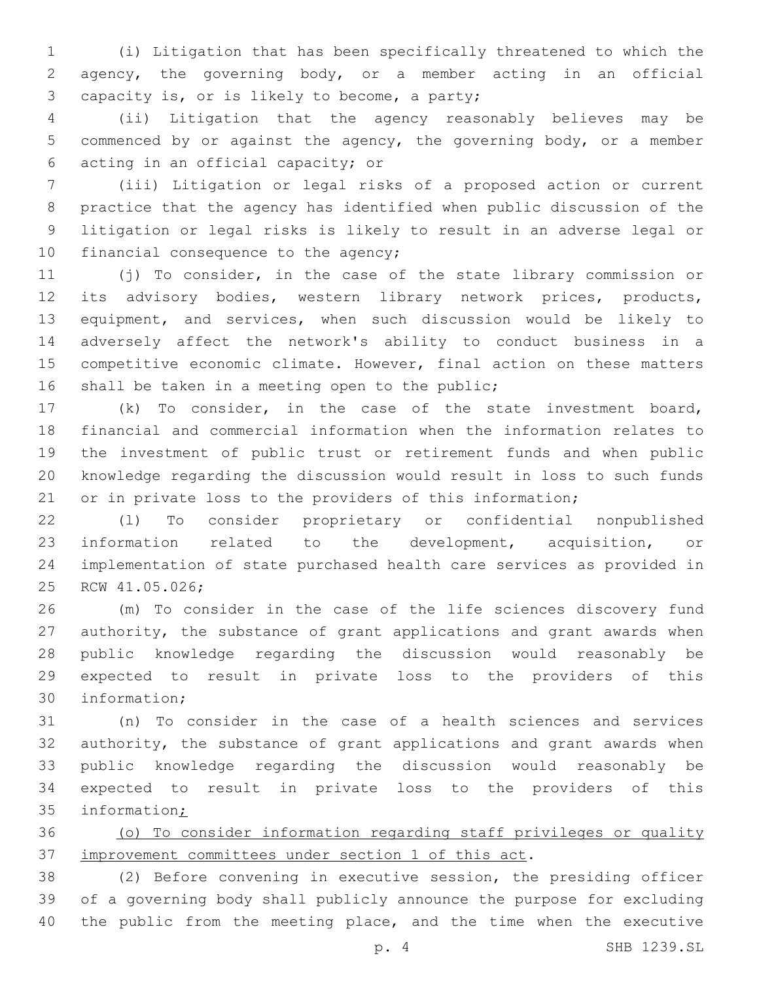(i) Litigation that has been specifically threatened to which the agency, the governing body, or a member acting in an official 3 capacity is, or is likely to become, a party;

 (ii) Litigation that the agency reasonably believes may be commenced by or against the agency, the governing body, or a member acting in an official capacity; or6

 (iii) Litigation or legal risks of a proposed action or current practice that the agency has identified when public discussion of the litigation or legal risks is likely to result in an adverse legal or 10 financial consequence to the agency;

 (j) To consider, in the case of the state library commission or its advisory bodies, western library network prices, products, equipment, and services, when such discussion would be likely to adversely affect the network's ability to conduct business in a competitive economic climate. However, final action on these matters 16 shall be taken in a meeting open to the public;

 (k) To consider, in the case of the state investment board, financial and commercial information when the information relates to the investment of public trust or retirement funds and when public knowledge regarding the discussion would result in loss to such funds or in private loss to the providers of this information;

 (l) To consider proprietary or confidential nonpublished information related to the development, acquisition, or implementation of state purchased health care services as provided in 25 RCW 41.05.026;

 (m) To consider in the case of the life sciences discovery fund authority, the substance of grant applications and grant awards when public knowledge regarding the discussion would reasonably be expected to result in private loss to the providers of this 30 information;

 (n) To consider in the case of a health sciences and services authority, the substance of grant applications and grant awards when public knowledge regarding the discussion would reasonably be expected to result in private loss to the providers of this information;

 (o) To consider information regarding staff privileges or quality improvement committees under section 1 of this act.

 (2) Before convening in executive session, the presiding officer of a governing body shall publicly announce the purpose for excluding 40 the public from the meeting place, and the time when the executive

p. 4 SHB 1239.SL